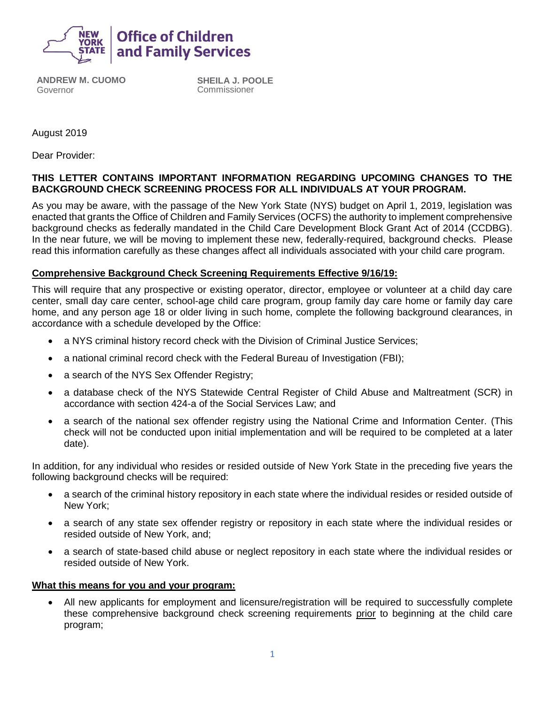

**ANDREW M. CUOMO** Governor

**SHEILA J. POOLE** Commissioner

August 2019

Dear Provider:

## **THIS LETTER CONTAINS IMPORTANT INFORMATION REGARDING UPCOMING CHANGES TO THE BACKGROUND CHECK SCREENING PROCESS FOR ALL INDIVIDUALS AT YOUR PROGRAM.**

As you may be aware, with the passage of the New York State (NYS) budget on April 1, 2019, legislation was enacted that grants the Office of Children and Family Services (OCFS) the authority to implement comprehensive background checks as federally mandated in the Child Care Development Block Grant Act of 2014 (CCDBG). In the near future, we will be moving to implement these new, federally-required, background checks. Please read this information carefully as these changes affect all individuals associated with your child care program.

## **Comprehensive Background Check Screening Requirements Effective 9/16/19:**

This will require that any prospective or existing operator, director, employee or volunteer at a child day care center, small day care center, school-age child care program, group family day care home or family day care home, and any person age 18 or older living in such home, complete the following background clearances, in accordance with a schedule developed by the Office:

- a NYS criminal history record check with the Division of Criminal Justice Services;
- a national criminal record check with the Federal Bureau of Investigation (FBI);
- a search of the NYS Sex Offender Registry;
- a database check of the NYS Statewide Central Register of Child Abuse and Maltreatment (SCR) in accordance with section 424-a of the Social Services Law; and
- a search of the national sex offender registry using the National Crime and Information Center. (This check will not be conducted upon initial implementation and will be required to be completed at a later date).

In addition, for any individual who resides or resided outside of New York State in the preceding five years the following background checks will be required:

- a search of the criminal history repository in each state where the individual resides or resided outside of New York;
- a search of any state sex offender registry or repository in each state where the individual resides or resided outside of New York, and;
- a search of state-based child abuse or neglect repository in each state where the individual resides or resided outside of New York.

## **What this means for you and your program:**

• All new applicants for employment and licensure/registration will be required to successfully complete these comprehensive background check screening requirements prior to beginning at the child care program;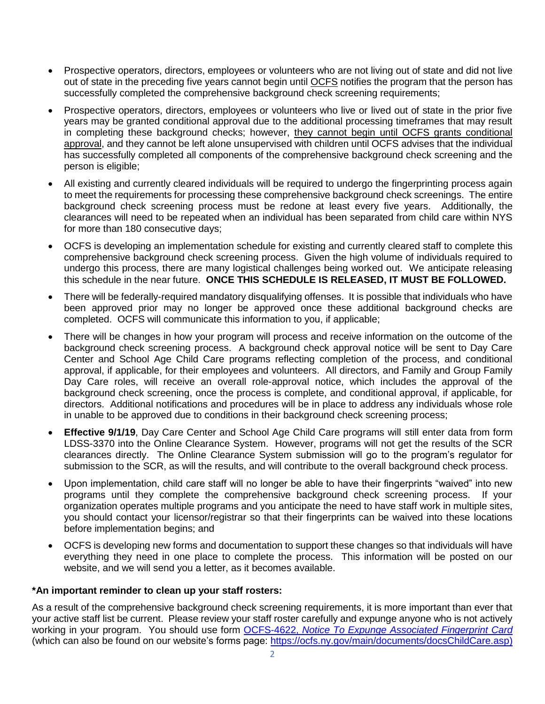- Prospective operators, directors, employees or volunteers who are not living out of state and did not live out of state in the preceding five years cannot begin until OCFS notifies the program that the person has successfully completed the comprehensive background check screening requirements;
- Prospective operators, directors, employees or volunteers who live or lived out of state in the prior five years may be granted conditional approval due to the additional processing timeframes that may result in completing these background checks; however, they cannot begin until OCFS grants conditional approval, and they cannot be left alone unsupervised with children until OCFS advises that the individual has successfully completed all components of the comprehensive background check screening and the person is eligible;
- All existing and currently cleared individuals will be required to undergo the fingerprinting process again to meet the requirements for processing these comprehensive background check screenings. The entire background check screening process must be redone at least every five years. Additionally, the clearances will need to be repeated when an individual has been separated from child care within NYS for more than 180 consecutive days;
- OCFS is developing an implementation schedule for existing and currently cleared staff to complete this comprehensive background check screening process. Given the high volume of individuals required to undergo this process, there are many logistical challenges being worked out. We anticipate releasing this schedule in the near future. **ONCE THIS SCHEDULE IS RELEASED, IT MUST BE FOLLOWED.**
- There will be federally-required mandatory disqualifying offenses. It is possible that individuals who have been approved prior may no longer be approved once these additional background checks are completed. OCFS will communicate this information to you, if applicable;
- There will be changes in how your program will process and receive information on the outcome of the background check screening process. A background check approval notice will be sent to Day Care Center and School Age Child Care programs reflecting completion of the process, and conditional approval, if applicable, for their employees and volunteers. All directors, and Family and Group Family Day Care roles, will receive an overall role-approval notice, which includes the approval of the background check screening, once the process is complete, and conditional approval, if applicable, for directors. Additional notifications and procedures will be in place to address any individuals whose role in unable to be approved due to conditions in their background check screening process;
- **Effective 9/1/19**, Day Care Center and School Age Child Care programs will still enter data from form LDSS-3370 into the Online Clearance System. However, programs will not get the results of the SCR clearances directly. The Online Clearance System submission will go to the program's regulator for submission to the SCR, as will the results, and will contribute to the overall background check process.
- Upon implementation, child care staff will no longer be able to have their fingerprints "waived" into new programs until they complete the comprehensive background check screening process. If your organization operates multiple programs and you anticipate the need to have staff work in multiple sites, you should contact your licensor/registrar so that their fingerprints can be waived into these locations before implementation begins; and
- OCFS is developing new forms and documentation to support these changes so that individuals will have everything they need in one place to complete the process. This information will be posted on our website, and we will send you a letter, as it becomes available.

## **\*An important reminder to clean up your staff rosters:**

As a result of the comprehensive background check screening requirements, it is more important than ever that your active staff list be current. Please review your staff roster carefully and expunge anyone who is not actively working in your program. You should use form OCFS-4622, *[Notice To Expunge Associated Fingerprint Card](https://ocfs.ny.gov/main/Forms/Day_Care/OCFS-4622%20Notice%20to%20Expunge%20Associated%20Fingerprint%20Cards.dot)* (which can also be found on our website's forms page: [https://ocfs.ny.gov/main/documents/docsChildCare.asp\)](https://ocfs.ny.gov/main/documents/docsChildCare.asp)